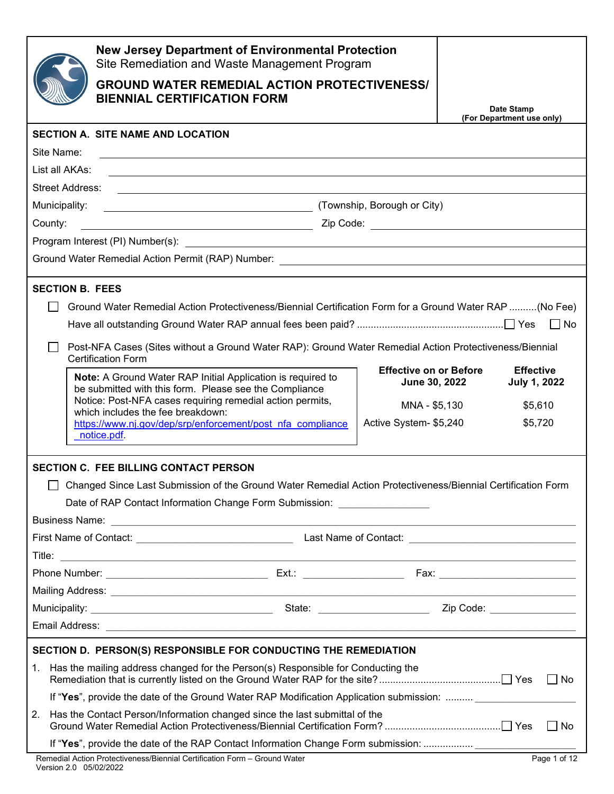|                                                                                                                 | <b>New Jersey Department of Environmental Protection</b><br>Site Remediation and Waste Management Program                                                                                                                        |                        |                           |           |
|-----------------------------------------------------------------------------------------------------------------|----------------------------------------------------------------------------------------------------------------------------------------------------------------------------------------------------------------------------------|------------------------|---------------------------|-----------|
|                                                                                                                 | <b>GROUND WATER REMEDIAL ACTION PROTECTIVENESS/</b>                                                                                                                                                                              |                        |                           |           |
|                                                                                                                 | <b>BIENNIAL CERTIFICATION FORM</b>                                                                                                                                                                                               |                        | Date Stamp                |           |
|                                                                                                                 |                                                                                                                                                                                                                                  |                        | (For Department use only) |           |
|                                                                                                                 | <b>SECTION A. SITE NAME AND LOCATION</b>                                                                                                                                                                                         |                        |                           |           |
| Site Name:<br>List all AKAs:                                                                                    | <u> 1989 - Johann Stoff, deutscher Stoffen und der Stoffen und der Stoffen und der Stoffen und der Stoffen und der</u>                                                                                                           |                        |                           |           |
| <b>Street Address:</b>                                                                                          | <u> 1989 - Johann Stoff, deutscher Stoff, der Stoff, der Stoff, der Stoff, der Stoff, der Stoff, der Stoff, der S</u>                                                                                                            |                        |                           |           |
| Municipality:                                                                                                   | (Township, Borough or City)                                                                                                                                                                                                      |                        |                           |           |
| County:                                                                                                         |                                                                                                                                                                                                                                  |                        |                           |           |
|                                                                                                                 |                                                                                                                                                                                                                                  |                        |                           |           |
|                                                                                                                 |                                                                                                                                                                                                                                  |                        |                           |           |
|                                                                                                                 |                                                                                                                                                                                                                                  |                        |                           |           |
| <b>SECTION B. FEES</b>                                                                                          |                                                                                                                                                                                                                                  |                        |                           |           |
|                                                                                                                 | Ground Water Remedial Action Protectiveness/Biennial Certification Form for a Ground Water RAP (No Fee)                                                                                                                          |                        |                           |           |
|                                                                                                                 |                                                                                                                                                                                                                                  |                        |                           |           |
|                                                                                                                 | Post-NFA Cases (Sites without a Ground Water RAP): Ground Water Remedial Action Protectiveness/Biennial<br><b>Certification Form</b>                                                                                             |                        |                           |           |
|                                                                                                                 | <b>Effective on or Before</b><br><b>Effective</b><br><b>Note:</b> A Ground Water RAP Initial Application is required to<br><b>June 30, 2022</b><br><b>July 1, 2022</b><br>be submitted with this form. Please see the Compliance |                        |                           |           |
| Notice: Post-NFA cases requiring remedial action permits,<br>MNA - \$5,130<br>which includes the fee breakdown: |                                                                                                                                                                                                                                  |                        | \$5,610                   |           |
|                                                                                                                 | https://www.nj.gov/dep/srp/enforcement/post nfa compliance<br>notice.pdf.                                                                                                                                                        | Active System- \$5,240 |                           | \$5,720   |
|                                                                                                                 | <b>SECTION C. FEE BILLING CONTACT PERSON</b>                                                                                                                                                                                     |                        |                           |           |
|                                                                                                                 | □ Changed Since Last Submission of the Ground Water Remedial Action Protectiveness/Biennial Certification Form                                                                                                                   |                        |                           |           |
|                                                                                                                 | Date of RAP Contact Information Change Form Submission: __________________                                                                                                                                                       |                        |                           |           |
|                                                                                                                 |                                                                                                                                                                                                                                  |                        |                           |           |
|                                                                                                                 |                                                                                                                                                                                                                                  |                        |                           |           |
|                                                                                                                 |                                                                                                                                                                                                                                  |                        |                           |           |
|                                                                                                                 |                                                                                                                                                                                                                                  |                        |                           |           |
|                                                                                                                 |                                                                                                                                                                                                                                  |                        |                           |           |
|                                                                                                                 |                                                                                                                                                                                                                                  |                        |                           |           |
|                                                                                                                 |                                                                                                                                                                                                                                  |                        |                           |           |
|                                                                                                                 | SECTION D. PERSON(S) RESPONSIBLE FOR CONDUCTING THE REMEDIATION                                                                                                                                                                  |                        |                           |           |
| 1.                                                                                                              | Has the mailing address changed for the Person(s) Responsible for Conducting the                                                                                                                                                 |                        |                           | No        |
|                                                                                                                 | If "Yes", provide the date of the Ground Water RAP Modification Application submission:                                                                                                                                          |                        |                           |           |
| 2.                                                                                                              | Has the Contact Person/Information changed since the last submittal of the                                                                                                                                                       |                        |                           | $\Box$ No |
|                                                                                                                 | If "Yes", provide the date of the RAP Contact Information Change Form submission:                                                                                                                                                |                        |                           |           |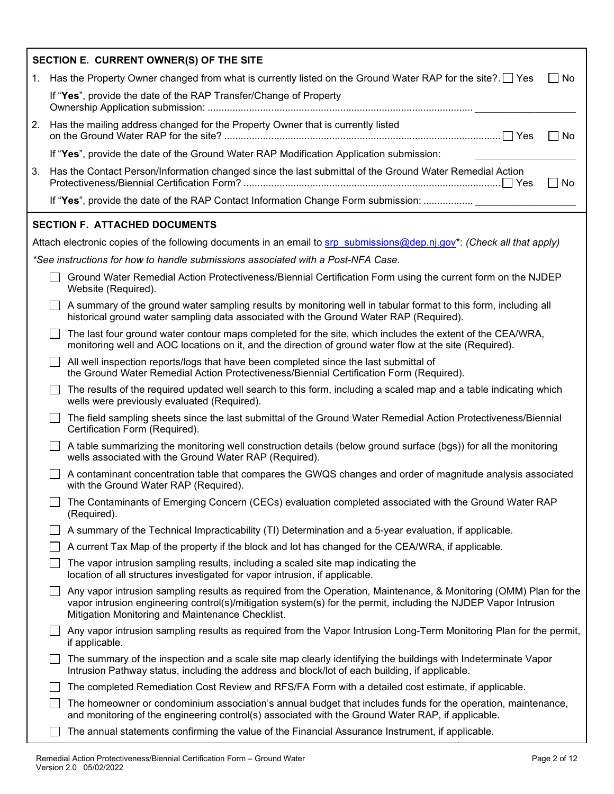|    | SECTION E. CURRENT OWNER(S) OF THE SITE                                                                                                                                                                                                                                                  |
|----|------------------------------------------------------------------------------------------------------------------------------------------------------------------------------------------------------------------------------------------------------------------------------------------|
| 1. | $\Box$ No<br>Has the Property Owner changed from what is currently listed on the Ground Water RAP for the site? $\square$ Yes                                                                                                                                                            |
|    | If "Yes", provide the date of the RAP Transfer/Change of Property                                                                                                                                                                                                                        |
| 2. | Has the mailing address changed for the Property Owner that is currently listed<br>$\square$ No                                                                                                                                                                                          |
|    | If "Yes", provide the date of the Ground Water RAP Modification Application submission:                                                                                                                                                                                                  |
| 3. | Has the Contact Person/Information changed since the last submittal of the Ground Water Remedial Action<br>$\Box$ No                                                                                                                                                                     |
|    | If "Yes", provide the date of the RAP Contact Information Change Form submission:                                                                                                                                                                                                        |
|    | <b>SECTION F. ATTACHED DOCUMENTS</b>                                                                                                                                                                                                                                                     |
|    | Attach electronic copies of the following documents in an email to srp submissions@dep.nj.gov*: (Check all that apply)                                                                                                                                                                   |
|    | *See instructions for how to handle submissions associated with a Post-NFA Case.                                                                                                                                                                                                         |
|    | Ground Water Remedial Action Protectiveness/Biennial Certification Form using the current form on the NJDEP<br>Website (Required).                                                                                                                                                       |
|    | A summary of the ground water sampling results by monitoring well in tabular format to this form, including all<br>historical ground water sampling data associated with the Ground Water RAP (Required).                                                                                |
|    | The last four ground water contour maps completed for the site, which includes the extent of the CEA/WRA,<br>monitoring well and AOC locations on it, and the direction of ground water flow at the site (Required).                                                                     |
|    | All well inspection reports/logs that have been completed since the last submittal of<br>the Ground Water Remedial Action Protectiveness/Biennial Certification Form (Required).                                                                                                         |
|    | The results of the required updated well search to this form, including a scaled map and a table indicating which<br>wells were previously evaluated (Required).                                                                                                                         |
|    | The field sampling sheets since the last submittal of the Ground Water Remedial Action Protectiveness/Biennial<br>Certification Form (Required).                                                                                                                                         |
|    | A table summarizing the monitoring well construction details (below ground surface (bgs)) for all the monitoring<br>wells associated with the Ground Water RAP (Required).                                                                                                               |
|    | A contaminant concentration table that compares the GWQS changes and order of magnitude analysis associated<br>with the Ground Water RAP (Required).                                                                                                                                     |
|    | The Contaminants of Emerging Concern (CECs) evaluation completed associated with the Ground Water RAP<br>(Required).                                                                                                                                                                     |
|    | A summary of the Technical Impracticability (TI) Determination and a 5-year evaluation, if applicable.                                                                                                                                                                                   |
|    | A current Tax Map of the property if the block and lot has changed for the CEA/WRA, if applicable.                                                                                                                                                                                       |
|    | The vapor intrusion sampling results, including a scaled site map indicating the<br>location of all structures investigated for vapor intrusion, if applicable.                                                                                                                          |
|    | Any vapor intrusion sampling results as required from the Operation, Maintenance, & Monitoring (OMM) Plan for the<br>vapor intrusion engineering control(s)/mitigation system(s) for the permit, including the NJDEP Vapor Intrusion<br>Mitigation Monitoring and Maintenance Checklist. |
|    | Any vapor intrusion sampling results as required from the Vapor Intrusion Long-Term Monitoring Plan for the permit,<br>if applicable.                                                                                                                                                    |
|    | The summary of the inspection and a scale site map clearly identifying the buildings with Indeterminate Vapor<br>Intrusion Pathway status, including the address and block/lot of each building, if applicable.                                                                          |
|    | The completed Remediation Cost Review and RFS/FA Form with a detailed cost estimate, if applicable.                                                                                                                                                                                      |
|    | The homeowner or condominium association's annual budget that includes funds for the operation, maintenance,<br>and monitoring of the engineering control(s) associated with the Ground Water RAP, if applicable.                                                                        |
|    | The annual statements confirming the value of the Financial Assurance Instrument, if applicable.                                                                                                                                                                                         |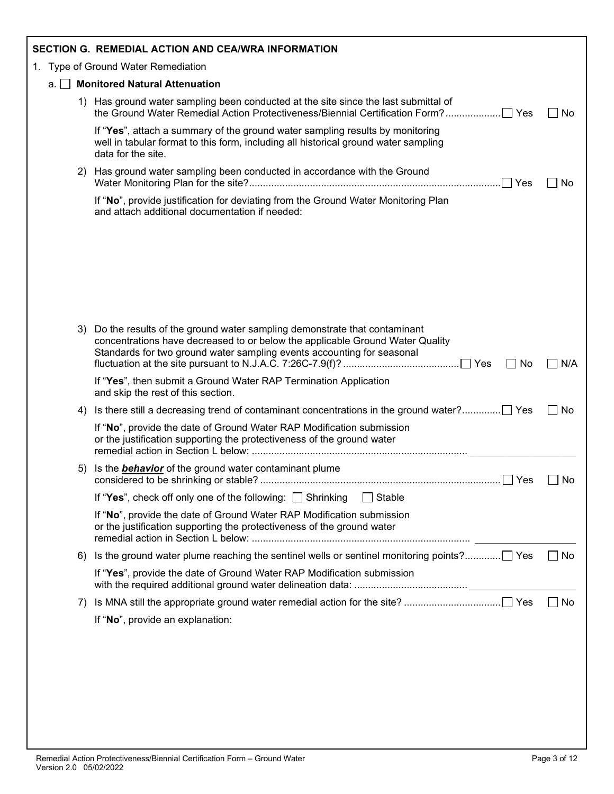|    |    | SECTION G. REMEDIAL ACTION AND CEA/WRA INFORMATION                                                                                                                                                                                               |      |
|----|----|--------------------------------------------------------------------------------------------------------------------------------------------------------------------------------------------------------------------------------------------------|------|
|    |    | 1. Type of Ground Water Remediation                                                                                                                                                                                                              |      |
| a. |    | <b>Monitored Natural Attenuation</b>                                                                                                                                                                                                             |      |
|    |    | 1) Has ground water sampling been conducted at the site since the last submittal of                                                                                                                                                              | ∐ No |
|    |    | If "Yes", attach a summary of the ground water sampling results by monitoring<br>well in tabular format to this form, including all historical ground water sampling<br>data for the site.                                                       |      |
|    | 2) | Has ground water sampling been conducted in accordance with the Ground                                                                                                                                                                           | No   |
|    |    | If "No", provide justification for deviating from the Ground Water Monitoring Plan<br>and attach additional documentation if needed:                                                                                                             |      |
|    |    |                                                                                                                                                                                                                                                  |      |
|    |    |                                                                                                                                                                                                                                                  |      |
|    |    |                                                                                                                                                                                                                                                  |      |
|    |    |                                                                                                                                                                                                                                                  |      |
|    | 3) | Do the results of the ground water sampling demonstrate that contaminant<br>concentrations have decreased to or below the applicable Ground Water Quality<br>Standards for two ground water sampling events accounting for seasonal<br>$\Box$ No | N/A  |
|    |    | If "Yes", then submit a Ground Water RAP Termination Application<br>and skip the rest of this section.                                                                                                                                           |      |
|    | 4) |                                                                                                                                                                                                                                                  | ∣No  |
|    |    | If "No", provide the date of Ground Water RAP Modification submission<br>or the justification supporting the protectiveness of the ground water                                                                                                  |      |
|    | 5) | Is the <b>behavior</b> of the ground water contaminant plume                                                                                                                                                                                     | No   |
|    |    | If "Yes", check off only one of the following: Shrinking<br>Stable                                                                                                                                                                               |      |
|    |    | If "No", provide the date of Ground Water RAP Modification submission<br>or the justification supporting the protectiveness of the ground water                                                                                                  |      |
|    | 6) |                                                                                                                                                                                                                                                  | No   |
|    |    | If "Yes", provide the date of Ground Water RAP Modification submission                                                                                                                                                                           |      |
|    | 7) |                                                                                                                                                                                                                                                  | No   |
|    |    | If "No", provide an explanation:                                                                                                                                                                                                                 |      |
|    |    |                                                                                                                                                                                                                                                  |      |
|    |    |                                                                                                                                                                                                                                                  |      |
|    |    |                                                                                                                                                                                                                                                  |      |
|    |    |                                                                                                                                                                                                                                                  |      |
|    |    |                                                                                                                                                                                                                                                  |      |
|    |    |                                                                                                                                                                                                                                                  |      |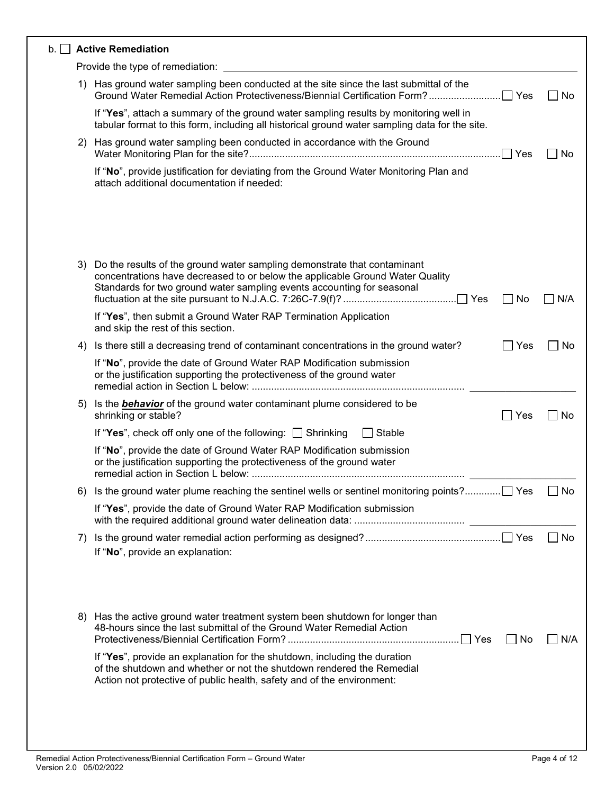| $b.$ Active Remediation                                                                 |                                                                                 |
|-----------------------------------------------------------------------------------------|---------------------------------------------------------------------------------|
| Provide the type of remediation:                                                        |                                                                                 |
| 1) Has ground water sampling been conducted at the site since the last submittal of the | No.                                                                             |
|                                                                                         | Yes<br>Ground Water Remedial Action Protectiveness/Biennial Certification Form? |

If "**Yes**", attach a summary of the ground water sampling results by monitoring well in tabular format to this form, including all historical ground water sampling data for the site.

| 2) Has ground water sampling been conducted in accordance with the Ground |  |
|---------------------------------------------------------------------------|--|
|                                                                           |  |
|                                                                           |  |

| If "No", provide justification for deviating from the Ground Water Monitoring Plan and |  |
|----------------------------------------------------------------------------------------|--|
| attach additional documentation if needed:                                             |  |

| 3) | Do the results of the ground water sampling demonstrate that contaminant<br>concentrations have decreased to or below the applicable Ground Water Quality<br>Standards for two ground water sampling events accounting for seasonal | $\Box$ No  | N/A       |
|----|-------------------------------------------------------------------------------------------------------------------------------------------------------------------------------------------------------------------------------------|------------|-----------|
|    | If "Yes", then submit a Ground Water RAP Termination Application<br>and skip the rest of this section.                                                                                                                              |            |           |
| 4) | Is there still a decreasing trend of contaminant concentrations in the ground water?                                                                                                                                                | Yes        | No        |
|    | If "No", provide the date of Ground Water RAP Modification submission<br>or the justification supporting the protectiveness of the ground water                                                                                     |            |           |
| 5) | Is the <b>behavior</b> of the ground water contaminant plume considered to be<br>shrinking or stable?                                                                                                                               | $\neg$ Yes | No        |
|    | If "Yes", check off only one of the following: Shrinking<br>Stable                                                                                                                                                                  |            |           |
|    | If "No", provide the date of Ground Water RAP Modification submission<br>or the justification supporting the protectiveness of the ground water                                                                                     |            |           |
| 6) | Is the ground water plume reaching the sentinel wells or sentinel monitoring points? Yes                                                                                                                                            |            | <b>No</b> |
|    | If "Yes", provide the date of Ground Water RAP Modification submission                                                                                                                                                              |            |           |
| 7) | If "No", provide an explanation:                                                                                                                                                                                                    |            | <b>No</b> |
| 8) | Has the active ground water treatment system been shutdown for longer than<br>48-hours since the last submittal of the Ground Water Remedial Action<br>If "Yes", provide an explanation for the shutdown, including the duration    | l INo      | N/A       |
|    | of the shutdown and whether or not the shutdown rendered the Remedial<br>Action not protective of public health, safety and of the environment:                                                                                     |            |           |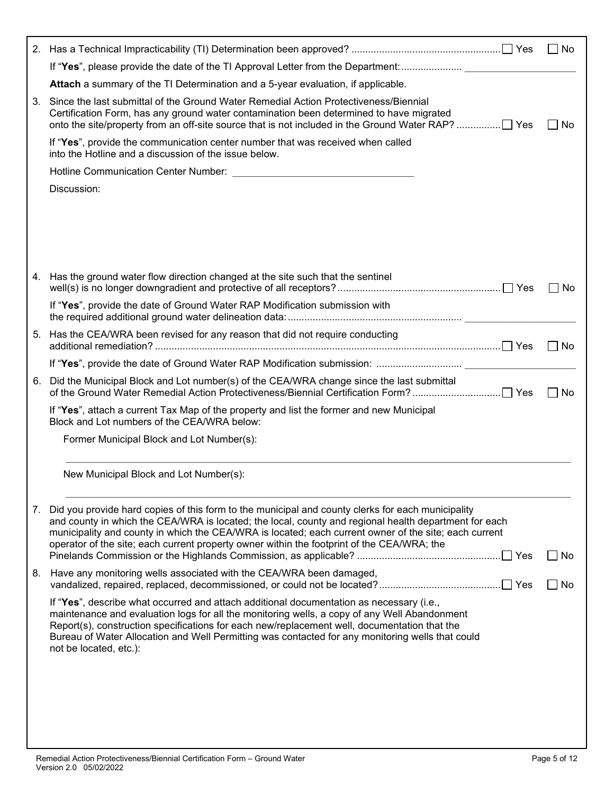|    |                                                                                                                                                                                                                                                                                                                                                                                                                               | l INo               |
|----|-------------------------------------------------------------------------------------------------------------------------------------------------------------------------------------------------------------------------------------------------------------------------------------------------------------------------------------------------------------------------------------------------------------------------------|---------------------|
|    | If "Yes", please provide the date of the TI Approval Letter from the Department:                                                                                                                                                                                                                                                                                                                                              |                     |
|    | Attach a summary of the TI Determination and a 5-year evaluation, if applicable.                                                                                                                                                                                                                                                                                                                                              |                     |
| 3. | Since the last submittal of the Ground Water Remedial Action Protectiveness/Biennial<br>Certification Form, has any ground water contamination been determined to have migrated                                                                                                                                                                                                                                               | No                  |
|    | If "Yes", provide the communication center number that was received when called<br>into the Hotline and a discussion of the issue below.                                                                                                                                                                                                                                                                                      |                     |
|    |                                                                                                                                                                                                                                                                                                                                                                                                                               |                     |
|    | Discussion:                                                                                                                                                                                                                                                                                                                                                                                                                   |                     |
|    |                                                                                                                                                                                                                                                                                                                                                                                                                               |                     |
|    | 4. Has the ground water flow direction changed at the site such that the sentinel                                                                                                                                                                                                                                                                                                                                             | No.<br>$\mathbf{1}$ |
|    | If "Yes", provide the date of Ground Water RAP Modification submission with                                                                                                                                                                                                                                                                                                                                                   |                     |
|    | 5. Has the CEA/WRA been revised for any reason that did not require conducting                                                                                                                                                                                                                                                                                                                                                | No                  |
|    |                                                                                                                                                                                                                                                                                                                                                                                                                               |                     |
| 6. | Did the Municipal Block and Lot number(s) of the CEA/WRA change since the last submittal                                                                                                                                                                                                                                                                                                                                      | No                  |
|    | If "Yes", attach a current Tax Map of the property and list the former and new Municipal<br>Block and Lot numbers of the CEA/WRA below:                                                                                                                                                                                                                                                                                       |                     |
|    | Former Municipal Block and Lot Number(s):                                                                                                                                                                                                                                                                                                                                                                                     |                     |
|    | New Municipal Block and Lot Number(s):                                                                                                                                                                                                                                                                                                                                                                                        |                     |
|    | 7. Did you provide hard copies of this form to the municipal and county clerks for each municipality<br>and county in which the CEA/WRA is located; the local, county and regional health department for each<br>municipality and county in which the CEA/WRA is located; each current owner of the site; each current<br>operator of the site; each current property owner within the footprint of the CEA/WRA; the<br>∣ Yes | No                  |
| 8. | Have any monitoring wells associated with the CEA/WRA been damaged,                                                                                                                                                                                                                                                                                                                                                           | No                  |
|    | If "Yes", describe what occurred and attach additional documentation as necessary (i.e.,<br>maintenance and evaluation logs for all the monitoring wells, a copy of any Well Abandonment<br>Report(s), construction specifications for each new/replacement well, documentation that the<br>Bureau of Water Allocation and Well Permitting was contacted for any monitoring wells that could<br>not be located, etc.):        |                     |
|    |                                                                                                                                                                                                                                                                                                                                                                                                                               |                     |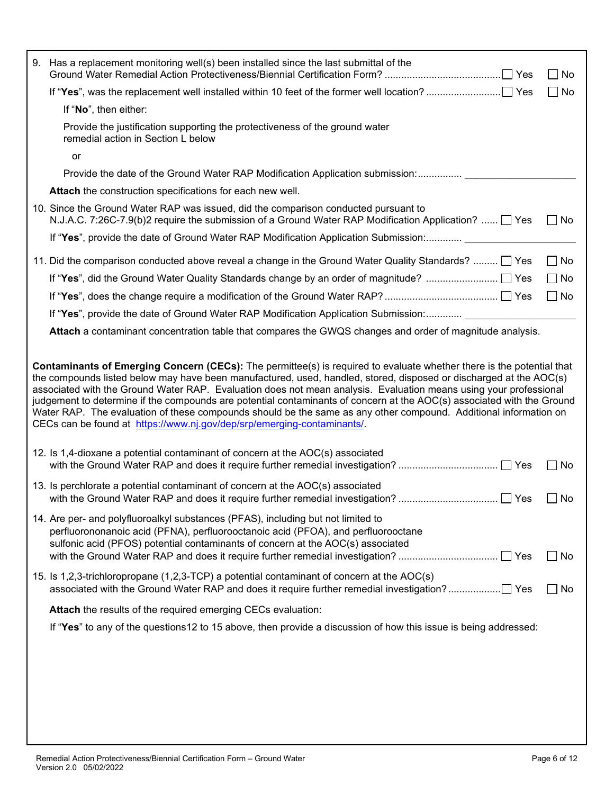| 9. Has a replacement monitoring well(s) been installed since the last submittal of the                                                                                                                                                                                                                                                                                                                                                                                                                                                                                                                                                                                                    | $\Box$ No |
|-------------------------------------------------------------------------------------------------------------------------------------------------------------------------------------------------------------------------------------------------------------------------------------------------------------------------------------------------------------------------------------------------------------------------------------------------------------------------------------------------------------------------------------------------------------------------------------------------------------------------------------------------------------------------------------------|-----------|
|                                                                                                                                                                                                                                                                                                                                                                                                                                                                                                                                                                                                                                                                                           | No        |
| If "No", then either:                                                                                                                                                                                                                                                                                                                                                                                                                                                                                                                                                                                                                                                                     |           |
| Provide the justification supporting the protectiveness of the ground water<br>remedial action in Section L below                                                                                                                                                                                                                                                                                                                                                                                                                                                                                                                                                                         |           |
| or                                                                                                                                                                                                                                                                                                                                                                                                                                                                                                                                                                                                                                                                                        |           |
| Provide the date of the Ground Water RAP Modification Application submission:                                                                                                                                                                                                                                                                                                                                                                                                                                                                                                                                                                                                             |           |
| Attach the construction specifications for each new well.                                                                                                                                                                                                                                                                                                                                                                                                                                                                                                                                                                                                                                 |           |
| 10. Since the Ground Water RAP was issued, did the comparison conducted pursuant to<br>N.J.A.C. 7:26C-7.9(b)2 require the submission of a Ground Water RAP Modification Application?  □ Yes                                                                                                                                                                                                                                                                                                                                                                                                                                                                                               | $\Box$ No |
| If "Yes", provide the date of Ground Water RAP Modification Application Submission:                                                                                                                                                                                                                                                                                                                                                                                                                                                                                                                                                                                                       |           |
| 11. Did the comparison conducted above reveal a change in the Ground Water Quality Standards?  T Yes                                                                                                                                                                                                                                                                                                                                                                                                                                                                                                                                                                                      | $\Box$ No |
|                                                                                                                                                                                                                                                                                                                                                                                                                                                                                                                                                                                                                                                                                           | $\Box$ No |
|                                                                                                                                                                                                                                                                                                                                                                                                                                                                                                                                                                                                                                                                                           | $\Box$ No |
| If "Yes", provide the date of Ground Water RAP Modification Application Submission:                                                                                                                                                                                                                                                                                                                                                                                                                                                                                                                                                                                                       |           |
| Attach a contaminant concentration table that compares the GWQS changes and order of magnitude analysis.                                                                                                                                                                                                                                                                                                                                                                                                                                                                                                                                                                                  |           |
| Contaminants of Emerging Concern (CECs): The permittee(s) is required to evaluate whether there is the potential that<br>the compounds listed below may have been manufactured, used, handled, stored, disposed or discharged at the AOC(s)<br>associated with the Ground Water RAP. Evaluation does not mean analysis. Evaluation means using your professional<br>judgement to determine if the compounds are potential contaminants of concern at the AOC(s) associated with the Ground<br>Water RAP. The evaluation of these compounds should be the same as any other compound. Additional information on<br>CECs can be found at https://www.nj.gov/dep/srp/emerging-contaminants/. |           |
| 12. Is 1,4-dioxane a potential contaminant of concern at the AOC(s) associated                                                                                                                                                                                                                                                                                                                                                                                                                                                                                                                                                                                                            | $\Box$ No |
| 13. Is perchlorate a potential contaminant of concern at the AOC(s) associated<br>with the Ground Water RAP and does it require further remedial investigation?<br>∣ Yes                                                                                                                                                                                                                                                                                                                                                                                                                                                                                                                  | No        |
| 14. Are per- and polyfluoroalkyl substances (PFAS), including but not limited to<br>perfluorononanoic acid (PFNA), perfluorooctanoic acid (PFOA), and perfluorooctane<br>sulfonic acid (PFOS) potential contaminants of concern at the AOC(s) associated                                                                                                                                                                                                                                                                                                                                                                                                                                  | $\Box$ No |
| 15. Is 1,2,3-trichloropropane (1,2,3-TCP) a potential contaminant of concern at the AOC(s)                                                                                                                                                                                                                                                                                                                                                                                                                                                                                                                                                                                                | No.       |
| Attach the results of the required emerging CECs evaluation:                                                                                                                                                                                                                                                                                                                                                                                                                                                                                                                                                                                                                              |           |
| If "Yes" to any of the questions 12 to 15 above, then provide a discussion of how this issue is being addressed:                                                                                                                                                                                                                                                                                                                                                                                                                                                                                                                                                                          |           |
|                                                                                                                                                                                                                                                                                                                                                                                                                                                                                                                                                                                                                                                                                           |           |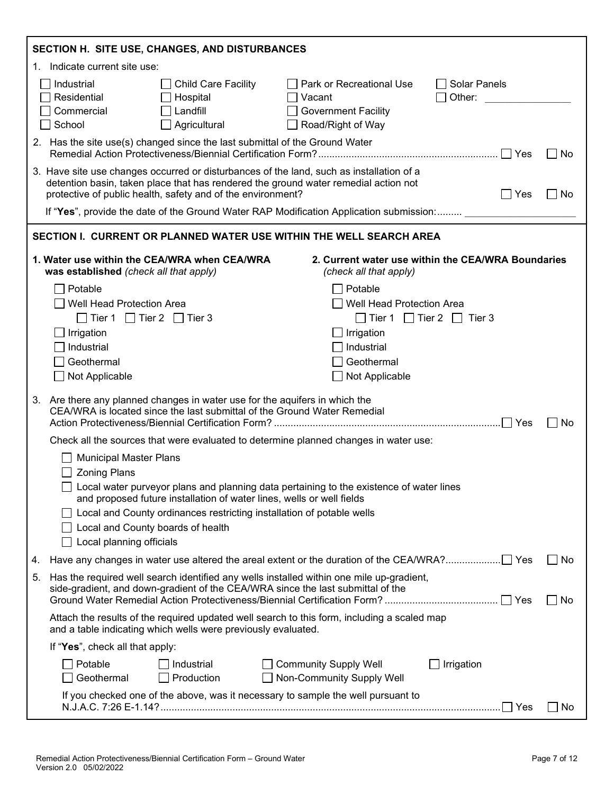|    | SECTION H. SITE USE, CHANGES, AND DISTURBANCES                                                                                                                                                                                                                                                                                                                                       |  |  |  |
|----|--------------------------------------------------------------------------------------------------------------------------------------------------------------------------------------------------------------------------------------------------------------------------------------------------------------------------------------------------------------------------------------|--|--|--|
|    | 1. Indicate current site use:                                                                                                                                                                                                                                                                                                                                                        |  |  |  |
|    | Industrial<br><b>Child Care Facility</b><br>Park or Recreational Use<br>  Solar Panels<br>Residential<br>Hospital<br>Other:<br>Vacant<br>Commercial<br>Landfill<br><b>Government Facility</b><br>School<br>Agricultural<br>Road/Right of Way                                                                                                                                         |  |  |  |
|    | 2. Has the site use(s) changed since the last submittal of the Ground Water<br>$\Box$ No                                                                                                                                                                                                                                                                                             |  |  |  |
|    | 3. Have site use changes occurred or disturbances of the land, such as installation of a<br>detention basin, taken place that has rendered the ground water remedial action not<br>protective of public health, safety and of the environment?<br>Yes<br>  No                                                                                                                        |  |  |  |
|    | If "Yes", provide the date of the Ground Water RAP Modification Application submission:                                                                                                                                                                                                                                                                                              |  |  |  |
|    | SECTION I. CURRENT OR PLANNED WATER USE WITHIN THE WELL SEARCH AREA                                                                                                                                                                                                                                                                                                                  |  |  |  |
|    | 1. Water use within the CEA/WRA when CEA/WRA<br>2. Current water use within the CEA/WRA Boundaries<br>was established (check all that apply)<br>(check all that apply)                                                                                                                                                                                                               |  |  |  |
|    | Potable<br>Potable<br><b>Well Head Protection Area</b><br><b>Well Head Protection Area</b><br>$\Box$ Tier 1 $\Box$ Tier 2 $\Box$ Tier 3<br>$\Box$ Tier 1 $\Box$ Tier 2 $\Box$ Tier 3<br>Irrigation<br>Irrigation<br>Industrial<br>Industrial<br>Geothermal<br>Geothermal<br>$\Box$ Not Applicable<br>Not Applicable                                                                  |  |  |  |
| 3. | Are there any planned changes in water use for the aquifers in which the<br>CEA/WRA is located since the last submittal of the Ground Water Remedial<br>.  Yes<br>No                                                                                                                                                                                                                 |  |  |  |
|    | Check all the sources that were evaluated to determine planned changes in water use:                                                                                                                                                                                                                                                                                                 |  |  |  |
|    | <b>Municipal Master Plans</b><br><b>Zoning Plans</b><br>□ Local water purveyor plans and planning data pertaining to the existence of water lines<br>and proposed future installation of water lines, wells or well fields<br>Local and County ordinances restricting installation of potable wells<br>Local and County boards of health<br>Local planning officials<br>$\mathbf{I}$ |  |  |  |
| 4. | $\Box$ No                                                                                                                                                                                                                                                                                                                                                                            |  |  |  |
| 5. | Has the required well search identified any wells installed within one mile up-gradient,<br>side-gradient, and down-gradient of the CEA/WRA since the last submittal of the<br>No                                                                                                                                                                                                    |  |  |  |
|    | Attach the results of the required updated well search to this form, including a scaled map<br>and a table indicating which wells were previously evaluated.                                                                                                                                                                                                                         |  |  |  |
|    | If "Yes", check all that apply:                                                                                                                                                                                                                                                                                                                                                      |  |  |  |
|    | Potable<br>$\Box$ Industrial<br><b>Community Supply Well</b><br>$\Box$ Irrigation<br>Geothermal<br>Production<br>Non-Community Supply Well                                                                                                                                                                                                                                           |  |  |  |
|    | If you checked one of the above, was it necessary to sample the well pursuant to<br>$\Box$ Yes<br>$\Box$ No                                                                                                                                                                                                                                                                          |  |  |  |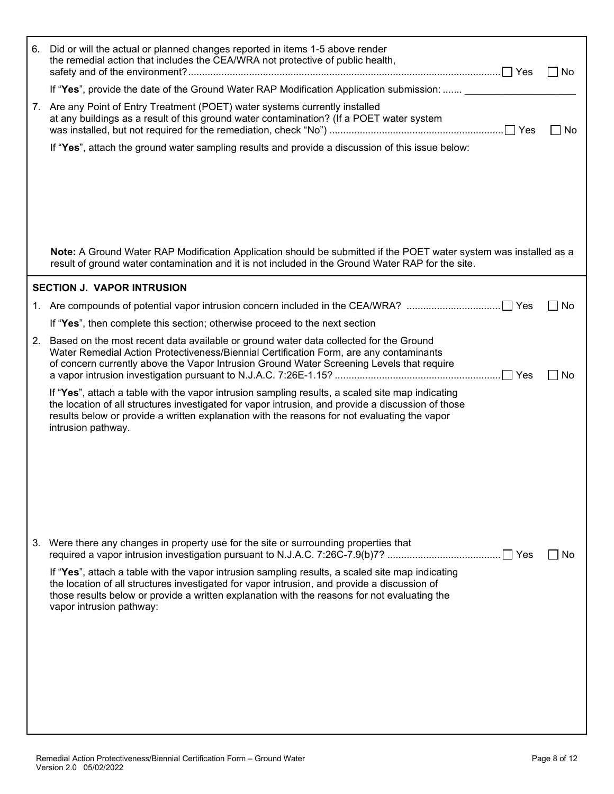| 6. | Did or will the actual or planned changes reported in items 1-5 above render<br>the remedial action that includes the CEA/WRA not protective of public health,                                                                                                                                                               | l No      |
|----|------------------------------------------------------------------------------------------------------------------------------------------------------------------------------------------------------------------------------------------------------------------------------------------------------------------------------|-----------|
|    | If "Yes", provide the date of the Ground Water RAP Modification Application submission:                                                                                                                                                                                                                                      |           |
|    | 7. Are any Point of Entry Treatment (POET) water systems currently installed<br>at any buildings as a result of this ground water contamination? (If a POET water system                                                                                                                                                     | No        |
|    | If "Yes", attach the ground water sampling results and provide a discussion of this issue below:                                                                                                                                                                                                                             |           |
|    |                                                                                                                                                                                                                                                                                                                              |           |
|    |                                                                                                                                                                                                                                                                                                                              |           |
|    |                                                                                                                                                                                                                                                                                                                              |           |
|    |                                                                                                                                                                                                                                                                                                                              |           |
|    |                                                                                                                                                                                                                                                                                                                              |           |
|    | Note: A Ground Water RAP Modification Application should be submitted if the POET water system was installed as a<br>result of ground water contamination and it is not included in the Ground Water RAP for the site.                                                                                                       |           |
|    | <b>SECTION J. VAPOR INTRUSION</b>                                                                                                                                                                                                                                                                                            |           |
|    |                                                                                                                                                                                                                                                                                                                              | No        |
|    | If "Yes", then complete this section; otherwise proceed to the next section                                                                                                                                                                                                                                                  |           |
| 2. | Based on the most recent data available or ground water data collected for the Ground<br>Water Remedial Action Protectiveness/Biennial Certification Form, are any contaminants<br>of concern currently above the Vapor Intrusion Ground Water Screening Levels that require                                                 | <b>No</b> |
|    | If "Yes", attach a table with the vapor intrusion sampling results, a scaled site map indicating<br>the location of all structures investigated for vapor intrusion, and provide a discussion of those<br>results below or provide a written explanation with the reasons for not evaluating the vapor<br>intrusion pathway. |           |
|    |                                                                                                                                                                                                                                                                                                                              |           |
|    |                                                                                                                                                                                                                                                                                                                              |           |
|    |                                                                                                                                                                                                                                                                                                                              |           |
|    |                                                                                                                                                                                                                                                                                                                              |           |
|    |                                                                                                                                                                                                                                                                                                                              |           |
|    | 3. Were there any changes in property use for the site or surrounding properties that                                                                                                                                                                                                                                        | No        |
|    | If "Yes", attach a table with the vapor intrusion sampling results, a scaled site map indicating<br>the location of all structures investigated for vapor intrusion, and provide a discussion of<br>those results below or provide a written explanation with the reasons for not evaluating the<br>vapor intrusion pathway: |           |
|    |                                                                                                                                                                                                                                                                                                                              |           |
|    |                                                                                                                                                                                                                                                                                                                              |           |
|    |                                                                                                                                                                                                                                                                                                                              |           |
|    |                                                                                                                                                                                                                                                                                                                              |           |
|    |                                                                                                                                                                                                                                                                                                                              |           |
|    |                                                                                                                                                                                                                                                                                                                              |           |
|    |                                                                                                                                                                                                                                                                                                                              |           |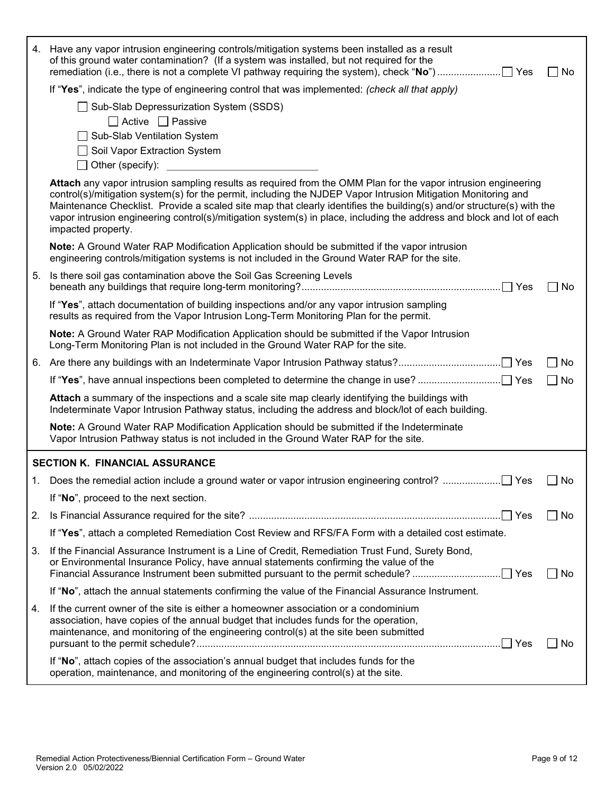|    | 4. Have any vapor intrusion engineering controls/mitigation systems been installed as a result<br>of this ground water contamination? (If a system was installed, but not required for the<br>$\Box$ No                                                                                                                                                                                                                                                                                                |
|----|--------------------------------------------------------------------------------------------------------------------------------------------------------------------------------------------------------------------------------------------------------------------------------------------------------------------------------------------------------------------------------------------------------------------------------------------------------------------------------------------------------|
|    | If "Yes", indicate the type of engineering control that was implemented: (check all that apply)                                                                                                                                                                                                                                                                                                                                                                                                        |
|    | □ Sub-Slab Depressurization System (SSDS)<br>$\Box$ Active $\Box$ Passive<br>□ Sub-Slab Ventilation System<br>Soil Vapor Extraction System<br>$\Box$ Other (specify):                                                                                                                                                                                                                                                                                                                                  |
|    | Attach any vapor intrusion sampling results as required from the OMM Plan for the vapor intrusion engineering<br>control(s)/mitigation system(s) for the permit, including the NJDEP Vapor Intrusion Mitigation Monitoring and<br>Maintenance Checklist. Provide a scaled site map that clearly identifies the building(s) and/or structure(s) with the<br>vapor intrusion engineering control(s)/mitigation system(s) in place, including the address and block and lot of each<br>impacted property. |
|    | Note: A Ground Water RAP Modification Application should be submitted if the vapor intrusion<br>engineering controls/mitigation systems is not included in the Ground Water RAP for the site.                                                                                                                                                                                                                                                                                                          |
| 5. | Is there soil gas contamination above the Soil Gas Screening Levels<br>$\Box$ No                                                                                                                                                                                                                                                                                                                                                                                                                       |
|    | If "Yes", attach documentation of building inspections and/or any vapor intrusion sampling<br>results as required from the Vapor Intrusion Long-Term Monitoring Plan for the permit.                                                                                                                                                                                                                                                                                                                   |
|    | Note: A Ground Water RAP Modification Application should be submitted if the Vapor Intrusion<br>Long-Term Monitoring Plan is not included in the Ground Water RAP for the site.                                                                                                                                                                                                                                                                                                                        |
|    | $\Box$ No                                                                                                                                                                                                                                                                                                                                                                                                                                                                                              |
|    | $\Box$ No                                                                                                                                                                                                                                                                                                                                                                                                                                                                                              |
|    | Attach a summary of the inspections and a scale site map clearly identifying the buildings with<br>Indeterminate Vapor Intrusion Pathway status, including the address and block/lot of each building.                                                                                                                                                                                                                                                                                                 |
|    | Note: A Ground Water RAP Modification Application should be submitted if the Indeterminate<br>Vapor Intrusion Pathway status is not included in the Ground Water RAP for the site.                                                                                                                                                                                                                                                                                                                     |
|    | <b>SECTION K. FINANCIAL ASSURANCE</b>                                                                                                                                                                                                                                                                                                                                                                                                                                                                  |
|    | No                                                                                                                                                                                                                                                                                                                                                                                                                                                                                                     |
|    | If "No", proceed to the next section.                                                                                                                                                                                                                                                                                                                                                                                                                                                                  |
| 2. | No                                                                                                                                                                                                                                                                                                                                                                                                                                                                                                     |
|    | If "Yes", attach a completed Remediation Cost Review and RFS/FA Form with a detailed cost estimate.                                                                                                                                                                                                                                                                                                                                                                                                    |
| 3. | If the Financial Assurance Instrument is a Line of Credit, Remediation Trust Fund, Surety Bond,<br>or Environmental Insurance Policy, have annual statements confirming the value of the<br>□ No                                                                                                                                                                                                                                                                                                       |
|    | If "No", attach the annual statements confirming the value of the Financial Assurance Instrument.                                                                                                                                                                                                                                                                                                                                                                                                      |
| 4. | If the current owner of the site is either a homeowner association or a condominium<br>association, have copies of the annual budget that includes funds for the operation,<br>maintenance, and monitoring of the engineering control(s) at the site been submitted<br>.∐ Yes<br>No                                                                                                                                                                                                                    |
|    | If "No", attach copies of the association's annual budget that includes funds for the<br>operation, maintenance, and monitoring of the engineering control(s) at the site.                                                                                                                                                                                                                                                                                                                             |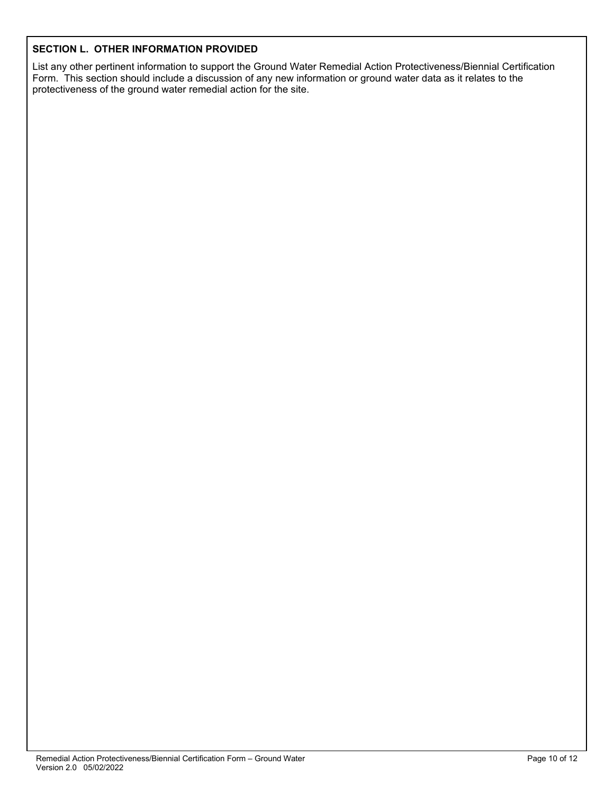## **SECTION L. OTHER INFORMATION PROVIDED**

List any other pertinent information to support the Ground Water Remedial Action Protectiveness/Biennial Certification Form. This section should include a discussion of any new information or ground water data as it relates to the protectiveness of the ground water remedial action for the site.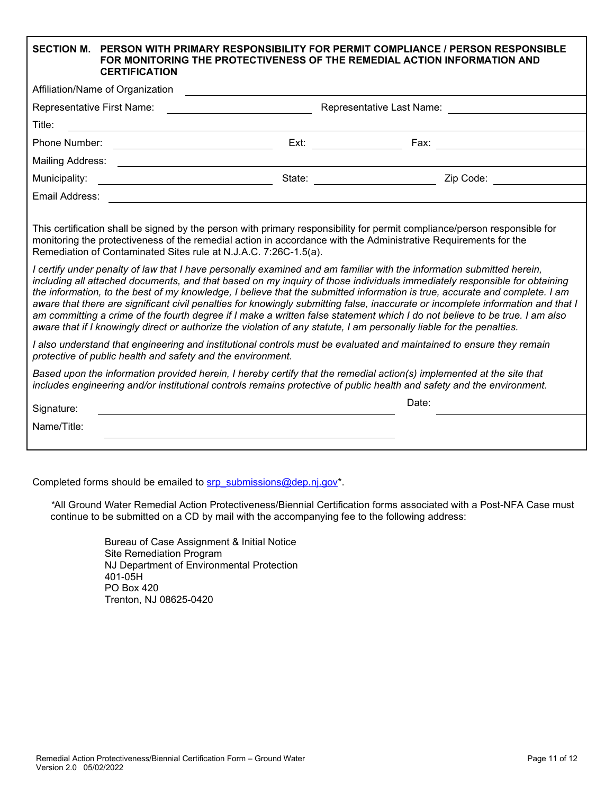|                                                                                                                                                                                                                                                                                                                                                                                                                                                                                                                                                                                                                                                                                                                                                                                                                                                                                                                                                                                                                                                                                                                                                                                                                                                                                          | <b>CERTIFICATION</b>                                              | SECTION M. PERSON WITH PRIMARY RESPONSIBILITY FOR PERMIT COMPLIANCE / PERSON RESPONSIBLE<br>FOR MONITORING THE PROTECTIVENESS OF THE REMEDIAL ACTION INFORMATION AND |  |  |
|------------------------------------------------------------------------------------------------------------------------------------------------------------------------------------------------------------------------------------------------------------------------------------------------------------------------------------------------------------------------------------------------------------------------------------------------------------------------------------------------------------------------------------------------------------------------------------------------------------------------------------------------------------------------------------------------------------------------------------------------------------------------------------------------------------------------------------------------------------------------------------------------------------------------------------------------------------------------------------------------------------------------------------------------------------------------------------------------------------------------------------------------------------------------------------------------------------------------------------------------------------------------------------------|-------------------------------------------------------------------|----------------------------------------------------------------------------------------------------------------------------------------------------------------------|--|--|
| Affiliation/Name of Organization                                                                                                                                                                                                                                                                                                                                                                                                                                                                                                                                                                                                                                                                                                                                                                                                                                                                                                                                                                                                                                                                                                                                                                                                                                                         |                                                                   |                                                                                                                                                                      |  |  |
| Representative First Name: <u>___________________________</u>                                                                                                                                                                                                                                                                                                                                                                                                                                                                                                                                                                                                                                                                                                                                                                                                                                                                                                                                                                                                                                                                                                                                                                                                                            |                                                                   |                                                                                                                                                                      |  |  |
| Title:                                                                                                                                                                                                                                                                                                                                                                                                                                                                                                                                                                                                                                                                                                                                                                                                                                                                                                                                                                                                                                                                                                                                                                                                                                                                                   | <u> 1989 - Andrea Stadt Britain, amerikansk politik (d. 1989)</u> |                                                                                                                                                                      |  |  |
|                                                                                                                                                                                                                                                                                                                                                                                                                                                                                                                                                                                                                                                                                                                                                                                                                                                                                                                                                                                                                                                                                                                                                                                                                                                                                          | Phone Number: <u>___________________________________</u>          |                                                                                                                                                                      |  |  |
|                                                                                                                                                                                                                                                                                                                                                                                                                                                                                                                                                                                                                                                                                                                                                                                                                                                                                                                                                                                                                                                                                                                                                                                                                                                                                          |                                                                   |                                                                                                                                                                      |  |  |
|                                                                                                                                                                                                                                                                                                                                                                                                                                                                                                                                                                                                                                                                                                                                                                                                                                                                                                                                                                                                                                                                                                                                                                                                                                                                                          |                                                                   |                                                                                                                                                                      |  |  |
|                                                                                                                                                                                                                                                                                                                                                                                                                                                                                                                                                                                                                                                                                                                                                                                                                                                                                                                                                                                                                                                                                                                                                                                                                                                                                          |                                                                   |                                                                                                                                                                      |  |  |
| This certification shall be signed by the person with primary responsibility for permit compliance/person responsible for<br>monitoring the protectiveness of the remedial action in accordance with the Administrative Requirements for the<br>Remediation of Contaminated Sites rule at N.J.A.C. 7:26C-1.5(a).<br>I certify under penalty of law that I have personally examined and am familiar with the information submitted herein,<br>including all attached documents, and that based on my inquiry of those individuals immediately responsible for obtaining<br>the information, to the best of my knowledge, I believe that the submitted information is true, accurate and complete. I am<br>aware that there are significant civil penalties for knowingly submitting false, inaccurate or incomplete information and that I<br>am committing a crime of the fourth degree if I make a written false statement which I do not believe to be true. I am also<br>aware that if I knowingly direct or authorize the violation of any statute, I am personally liable for the penalties.<br>I also understand that engineering and institutional controls must be evaluated and maintained to ensure they remain<br>protective of public health and safety and the environment. |                                                                   |                                                                                                                                                                      |  |  |
| Based upon the information provided herein, I hereby certify that the remedial action(s) implemented at the site that<br>includes engineering and/or institutional controls remains protective of public health and safety and the environment.                                                                                                                                                                                                                                                                                                                                                                                                                                                                                                                                                                                                                                                                                                                                                                                                                                                                                                                                                                                                                                          |                                                                   |                                                                                                                                                                      |  |  |
| Signature:                                                                                                                                                                                                                                                                                                                                                                                                                                                                                                                                                                                                                                                                                                                                                                                                                                                                                                                                                                                                                                                                                                                                                                                                                                                                               |                                                                   | Date:                                                                                                                                                                |  |  |
| Name/Title:                                                                                                                                                                                                                                                                                                                                                                                                                                                                                                                                                                                                                                                                                                                                                                                                                                                                                                                                                                                                                                                                                                                                                                                                                                                                              |                                                                   |                                                                                                                                                                      |  |  |
|                                                                                                                                                                                                                                                                                                                                                                                                                                                                                                                                                                                                                                                                                                                                                                                                                                                                                                                                                                                                                                                                                                                                                                                                                                                                                          |                                                                   |                                                                                                                                                                      |  |  |

Completed forms should be emailed to srp\_submissions@dep.nj.gov\*.

*\**All Ground Water Remedial Action Protectiveness/Biennial Certification forms associated with a Post-NFA Case must continue to be submitted on a CD by mail with the accompanying fee to the following address:

> Bureau of Case Assignment & Initial Notice Site Remediation Program NJ Department of Environmental Protection 401-05H PO Box 420 Trenton, NJ 08625-0420

1